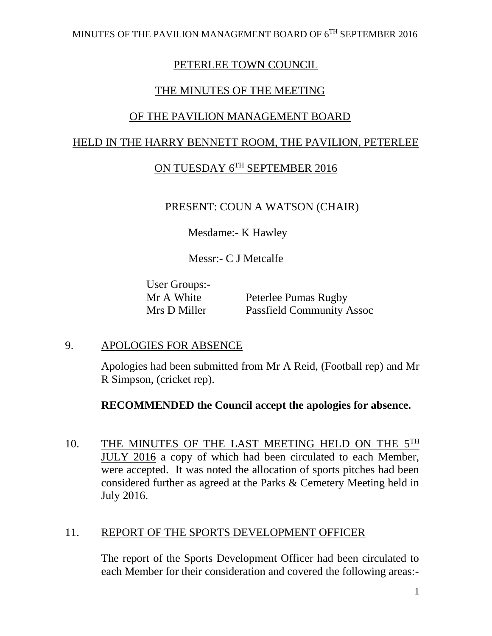### PETERLEE TOWN COUNCIL

### THE MINUTES OF THE MEETING

### OF THE PAVILION MANAGEMENT BOARD

### HELD IN THE HARRY BENNETT ROOM, THE PAVILION, PETERLEE

# ON TUESDAY 6TH SEPTEMBER 2016

### PRESENT: COUN A WATSON (CHAIR)

Mesdame:- K Hawley

Messr:- C J Metcalfe

User Groups:-

Mr A White Peterlee Pumas Rugby Mrs D Miller Passfield Community Assoc

### 9. APOLOGIES FOR ABSENCE

Apologies had been submitted from Mr A Reid, (Football rep) and Mr R Simpson, (cricket rep).

### **RECOMMENDED the Council accept the apologies for absence.**

10. THE MINUTES OF THE LAST MEETING HELD ON THE 5TH JULY 2016 a copy of which had been circulated to each Member, were accepted. It was noted the allocation of sports pitches had been considered further as agreed at the Parks & Cemetery Meeting held in July 2016.

### 11. REPORT OF THE SPORTS DEVELOPMENT OFFICER

The report of the Sports Development Officer had been circulated to each Member for their consideration and covered the following areas:-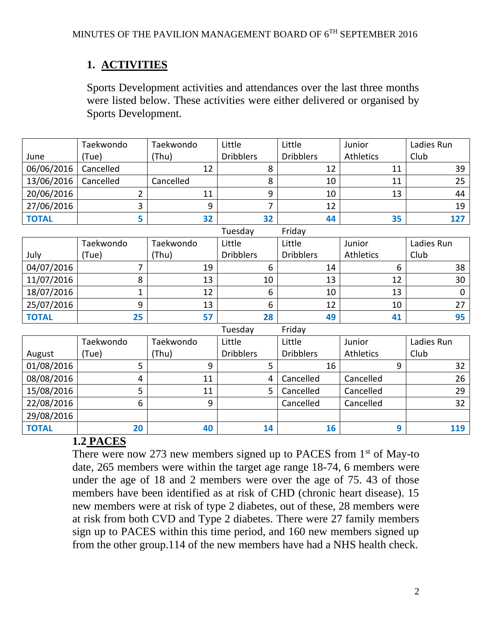# **1. ACTIVITIES**

Sports Development activities and attendances over the last three months were listed below. These activities were either delivered or organised by Sports Development.

|              | Taekwondo | Taekwondo | Little                 | Little            | Junior    | Ladies Run |
|--------------|-----------|-----------|------------------------|-------------------|-----------|------------|
| June         | Tue)      | (Thu)     | <b>Dribblers</b>       | <b>Dribblers</b>  | Athletics | Club       |
| 06/06/2016   | Cancelled |           |                        | 12                | 11        | 39         |
| 13/06/2016   | Cancelled | Cancelled |                        | 10                | 11        | 25         |
| 20/06/2016   |           |           | q                      | 10                | 13        | 44         |
| 27/06/2016   |           | Ω         |                        | 12                |           | 19         |
| <b>TOTAL</b> |           | 32        | 32                     | 44                | 35        | 127        |
|              |           |           | $T_1$ , and as $\cdot$ | $F = \frac{1}{2}$ |           |            |

|              |           |           | Tuesday          | Friday           |           |            |
|--------------|-----------|-----------|------------------|------------------|-----------|------------|
|              | Taekwondo | Taekwondo | Little           | Little           | Junior    | Ladies Run |
| July         | 'Tue)     | (Thu)     | <b>Dribblers</b> | <b>Dribblers</b> | Athletics | Club       |
| 04/07/2016   |           | 19        |                  | 14               |           | 38         |
| 11/07/2016   |           | 13        | 10               | 13               | 12        | 30         |
| 18/07/2016   |           | 12        | 6                | 10               | 13        | 0          |
| 25/07/2016   |           | 13        | 6                | 12               | 10        | 27         |
| <b>TOTAL</b> | 25        | 57        | 28               | 49               | 41        | 95         |

|              |           |           | Tuesday          | Friday           |                  |            |
|--------------|-----------|-----------|------------------|------------------|------------------|------------|
|              | Taekwondo | Taekwondo | Little           | Little           | Junior           | Ladies Run |
| August       | (Tue)     | (Thu)     | <b>Dribblers</b> | <b>Dribblers</b> | <b>Athletics</b> | Club       |
| 01/08/2016   |           | 9         |                  | 16               |                  | 32         |
| 08/08/2016   | 4         | 11        | 4                | Cancelled        | Cancelled        | 26         |
| 15/08/2016   |           | 11        |                  | Cancelled        | Cancelled        | 29         |
| 22/08/2016   | 6         | 9         |                  | Cancelled        | Cancelled        | 32         |
| 29/08/2016   |           |           |                  |                  |                  |            |
| <b>TOTAL</b> | 20        | 40        | 14               | 16               |                  | 119        |

# **1.2 PACES**

There were now 273 new members signed up to PACES from  $1<sup>st</sup>$  of May-to date, 265 members were within the target age range 18-74, 6 members were under the age of 18 and 2 members were over the age of 75. 43 of those members have been identified as at risk of CHD (chronic heart disease). 15 new members were at risk of type 2 diabetes, out of these, 28 members were at risk from both CVD and Type 2 diabetes. There were 27 family members sign up to PACES within this time period, and 160 new members signed up from the other group.114 of the new members have had a NHS health check.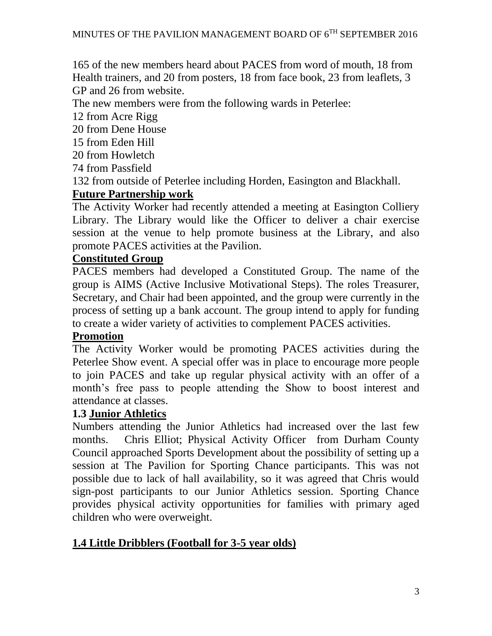165 of the new members heard about PACES from word of mouth, 18 from Health trainers, and 20 from posters, 18 from face book, 23 from leaflets, 3 GP and 26 from website.

The new members were from the following wards in Peterlee:

12 from Acre Rigg

20 from Dene House

- 15 from Eden Hill
- 20 from Howletch
- 74 from Passfield

132 from outside of Peterlee including Horden, Easington and Blackhall.

### **Future Partnership work**

The Activity Worker had recently attended a meeting at Easington Colliery Library. The Library would like the Officer to deliver a chair exercise session at the venue to help promote business at the Library, and also promote PACES activities at the Pavilion.

#### **Constituted Group**

PACES members had developed a Constituted Group. The name of the group is AIMS (Active Inclusive Motivational Steps). The roles Treasurer, Secretary, and Chair had been appointed, and the group were currently in the process of setting up a bank account. The group intend to apply for funding to create a wider variety of activities to complement PACES activities.

### **Promotion**

The Activity Worker would be promoting PACES activities during the Peterlee Show event. A special offer was in place to encourage more people to join PACES and take up regular physical activity with an offer of a month's free pass to people attending the Show to boost interest and attendance at classes.

### **1.3 Junior Athletics**

Numbers attending the Junior Athletics had increased over the last few months. Chris Elliot; Physical Activity Officer from Durham County Council approached Sports Development about the possibility of setting up a session at The Pavilion for Sporting Chance participants. This was not possible due to lack of hall availability, so it was agreed that Chris would sign-post participants to our Junior Athletics session. Sporting Chance provides physical activity opportunities for families with primary aged children who were overweight.

### **1.4 Little Dribblers (Football for 3-5 year olds)**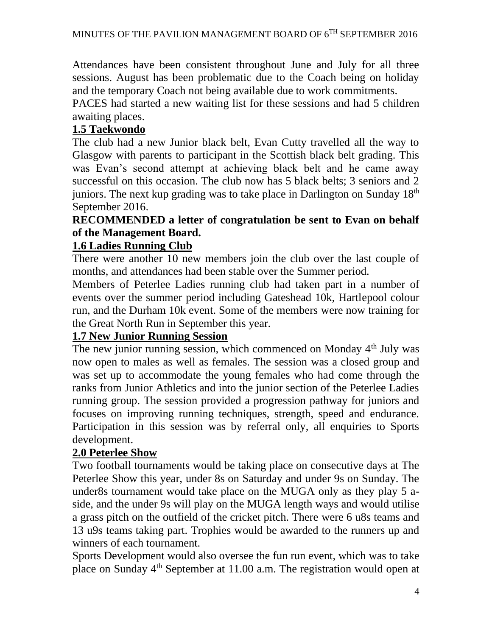Attendances have been consistent throughout June and July for all three sessions. August has been problematic due to the Coach being on holiday and the temporary Coach not being available due to work commitments.

PACES had started a new waiting list for these sessions and had 5 children awaiting places.

# **1.5 Taekwondo**

The club had a new Junior black belt, Evan Cutty travelled all the way to Glasgow with parents to participant in the Scottish black belt grading. This was Evan's second attempt at achieving black belt and he came away successful on this occasion. The club now has 5 black belts; 3 seniors and 2 juniors. The next kup grading was to take place in Darlington on Sunday 18<sup>th</sup> September 2016.

### **RECOMMENDED a letter of congratulation be sent to Evan on behalf of the Management Board.**

# **1.6 Ladies Running Club**

There were another 10 new members join the club over the last couple of months, and attendances had been stable over the Summer period.

Members of Peterlee Ladies running club had taken part in a number of events over the summer period including Gateshead 10k, Hartlepool colour run, and the Durham 10k event. Some of the members were now training for the Great North Run in September this year.

# **1.7 New Junior Running Session**

The new junior running session, which commenced on Monday 4<sup>th</sup> July was now open to males as well as females. The session was a closed group and was set up to accommodate the young females who had come through the ranks from Junior Athletics and into the junior section of the Peterlee Ladies running group. The session provided a progression pathway for juniors and focuses on improving running techniques, strength, speed and endurance. Participation in this session was by referral only, all enquiries to Sports development.

# **2.0 Peterlee Show**

Two football tournaments would be taking place on consecutive days at The Peterlee Show this year, under 8s on Saturday and under 9s on Sunday. The under8s tournament would take place on the MUGA only as they play 5 aside, and the under 9s will play on the MUGA length ways and would utilise a grass pitch on the outfield of the cricket pitch. There were 6 u8s teams and 13 u9s teams taking part. Trophies would be awarded to the runners up and winners of each tournament.

Sports Development would also oversee the fun run event, which was to take place on Sunday  $4<sup>th</sup>$  September at 11.00 a.m. The registration would open at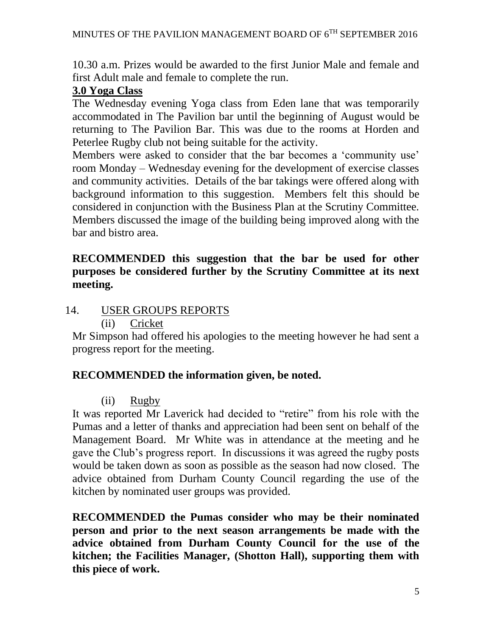10.30 a.m. Prizes would be awarded to the first Junior Male and female and first Adult male and female to complete the run.

### **3.0 Yoga Class**

The Wednesday evening Yoga class from Eden lane that was temporarily accommodated in The Pavilion bar until the beginning of August would be returning to The Pavilion Bar. This was due to the rooms at Horden and Peterlee Rugby club not being suitable for the activity.

Members were asked to consider that the bar becomes a 'community use' room Monday – Wednesday evening for the development of exercise classes and community activities. Details of the bar takings were offered along with background information to this suggestion. Members felt this should be considered in conjunction with the Business Plan at the Scrutiny Committee. Members discussed the image of the building being improved along with the bar and bistro area.

### **RECOMMENDED this suggestion that the bar be used for other purposes be considered further by the Scrutiny Committee at its next meeting.**

- 14. USER GROUPS REPORTS
	- (ii) Cricket

Mr Simpson had offered his apologies to the meeting however he had sent a progress report for the meeting.

### **RECOMMENDED the information given, be noted.**

(ii) Rugby

It was reported Mr Laverick had decided to "retire" from his role with the Pumas and a letter of thanks and appreciation had been sent on behalf of the Management Board. Mr White was in attendance at the meeting and he gave the Club's progress report. In discussions it was agreed the rugby posts would be taken down as soon as possible as the season had now closed. The advice obtained from Durham County Council regarding the use of the kitchen by nominated user groups was provided.

**RECOMMENDED the Pumas consider who may be their nominated person and prior to the next season arrangements be made with the advice obtained from Durham County Council for the use of the kitchen; the Facilities Manager, (Shotton Hall), supporting them with this piece of work.**